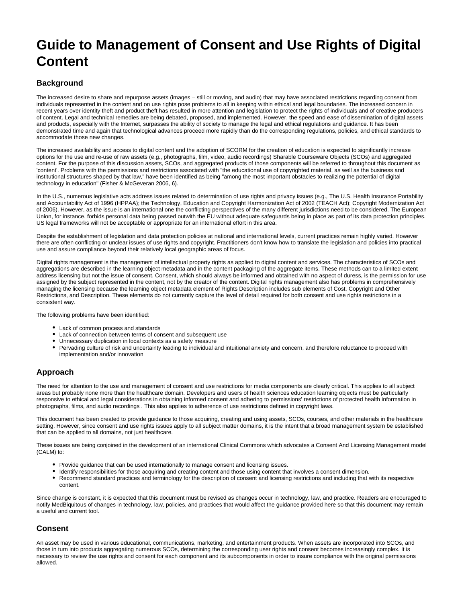# **Guide to Management of Consent and Use Rights of Digital Content**

# **Background**

The increased desire to share and repurpose assets (images – still or moving, and audio) that may have associated restrictions regarding consent from individuals represented in the content and on use rights pose problems to all in keeping within ethical and legal boundaries. The increased concern in recent years over identity theft and product theft has resulted in more attention and legislation to protect the rights of individuals and of creative producers of content. Legal and technical remedies are being debated, proposed, and implemented. However, the speed and ease of dissemination of digital assets and products, especially with the Internet, surpasses the ability of society to manage the legal and ethical regulations and guidance. It has been demonstrated time and again that technological advances proceed more rapidly than do the corresponding regulations, policies, and ethical standards to accommodate those new changes.

The increased availability and access to digital content and the adoption of SCORM for the creation of education is expected to significantly increase options for the use and re-use of raw assets (e.g., photographs, film, video, audio recordings) Sharable Courseware Objects (SCOs) and aggregated content. For the purpose of this discussion assets, SCOs, and aggregated products of those components will be referred to throughout this document as 'content'. Problems with the permissions and restrictions associated with "the educational use of copyrighted material, as well as the business and institutional structures shaped by that law," have been identified as being "among the most important obstacles to realizing the potential of digital technology in education" (Fisher & McGeveran 2006, 6).

In the U.S., numerous legislative acts address issues related to determination of use rights and privacy issues (e.g., The U.S. Health Insurance Portability and Accountability Act of 1996 (HPPAA); the Technology, Education and Copyright Harmonization Act of 2002 (TEACH Act); Copyright Modernization Act of 2006). However, as the issue is an international one the conflicting perspectives of the many different jurisdictions need to be considered. The European Union, for instance, forbids personal data being passed outwith the EU without adequate safeguards being in place as part of its data protection principles. US legal frameworks will not be acceptable or appropriate for an international effort in this area.

Despite the establishment of legislation and data protection policies at national and international levels, current practices remain highly varied. However there are often conflicting or unclear issues of use rights and copyright. Practitioners don't know how to translate the legislation and policies into practical use and assure compliance beyond their relatively local geographic areas of focus.

Digital rights management is the management of intellectual property rights as applied to digital content and services. The characteristics of SCOs and aggregations are described in the learning object metadata and in the content packaging of the aggregate items. These methods can to a limited extent address licensing but not the issue of consent. Consent, which should always be informed and obtained with no aspect of duress, is the permission for use assigned by the subject represented in the content, not by the creator of the content. Digital rights management also has problems in comprehensively managing the licensing because the learning object metadata element of Rights Description includes sub elements of Cost, Copyright and Other Restrictions, and Description. These elements do not currently capture the level of detail required for both consent and use rights restrictions in a consistent way.

The following problems have been identified:

- Lack of common process and standards
- Lack of connection between terms of consent and subsequent use
- Unnecessary duplication in local contexts as a safety measure
- Pervading culture of risk and uncertainty leading to individual and intuitional anxiety and concern, and therefore reluctance to proceed with implementation and/or innovation

## **Approach**

The need for attention to the use and management of consent and use restrictions for media components are clearly critical. This applies to all subject areas but probably none more than the healthcare domain. Developers and users of health sciences education learning objects must be particularly responsive to ethical and legal considerations in obtaining informed consent and adhering to permissions' restrictions of protected health information in photographs, films, and audio recordings . This also applies to adherence of use restrictions defined in copyright laws.

This document has been created to provide guidance to those acquiring, creating and using assets, SCOs, courses, and other materials in the healthcare setting. However, since consent and use rights issues apply to all subject matter domains, it is the intent that a broad management system be established that can be applied to all domains, not just healthcare.

These issues are being conjoined in the development of an international Clinical Commons which advocates a Consent And Licensing Management model (CALM) to:

- Provide guidance that can be used internationally to manage consent and licensing issues.
- Identify responsibilities for those acquiring and creating content and those using content that involves a consent dimension.
- $\bullet$ Recommend standard practices and terminology for the description of consent and licensing restrictions and including that with its respective content.

Since change is constant, it is expected that this document must be revised as changes occur in technology, law, and practice. Readers are encouraged to notify MedBiquitous of changes in technology, law, policies, and practices that would affect the guidance provided here so that this document may remain a useful and current tool.

### **Consent**

An asset may be used in various educational, communications, marketing, and entertainment products. When assets are incorporated into SCOs, and those in turn into products aggregating numerous SCOs, determining the corresponding user rights and consent becomes increasingly complex. It is necessary to review the use rights and consent for each component and its subcomponents in order to insure compliance with the original permissions allowed.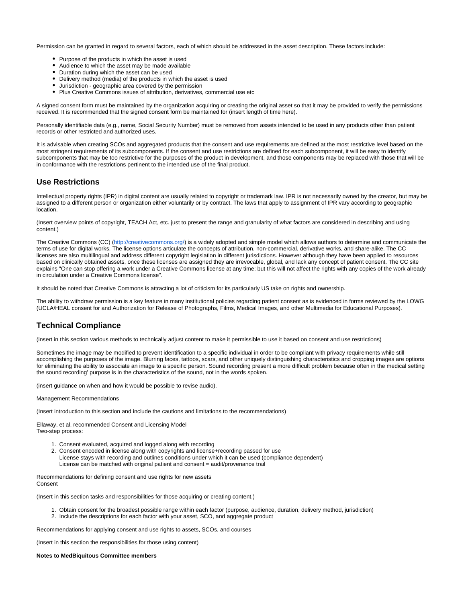Permission can be granted in regard to several factors, each of which should be addressed in the asset description. These factors include:

- Purpose of the products in which the asset is used
- Audience to which the asset may be made available
- Duration during which the asset can be used
- Delivery method (media) of the products in which the asset is used
- Jurisdiction geographic area covered by the permission
- Plus Creative Commons issues of attribution, derivatives, commercial use etc.

A signed consent form must be maintained by the organization acquiring or creating the original asset so that it may be provided to verify the permissions received. It is recommended that the signed consent form be maintained for (insert length of time here).

Personally identifiable data (e.g., name, Social Security Number) must be removed from assets intended to be used in any products other than patient records or other restricted and authorized uses.

It is advisable when creating SCOs and aggregated products that the consent and use requirements are defined at the most restrictive level based on the most stringent requirements of its subcomponents. If the consent and use restrictions are defined for each subcomponent, it will be easy to identify subcomponents that may be too restrictive for the purposes of the product in development, and those components may be replaced with those that will be in conformance with the restrictions pertinent to the intended use of the final product.

## **Use Restrictions**

Intellectual property rights (IPR) in digital content are usually related to copyright or trademark law. IPR is not necessarily owned by the creator, but may be assigned to a different person or organization either voluntarily or by contract. The laws that apply to assignment of IPR vary according to geographic location.

(Insert overview points of copyright, TEACH Act, etc. just to present the range and granularity of what factors are considered in describing and using content.)

The Creative Commons (CC) (<http://creativecommons.org/>) is a widely adopted and simple model which allows authors to determine and communicate the terms of use for digital works. The license options articulate the concepts of attribution, non-commercial, derivative works, and share-alike. The CC licenses are also multilingual and address different copyright legislation in different jurisdictions. However although they have been applied to resources based on clinically obtained assets, once these licenses are assigned they are irrevocable, global, and lack any concept of patient consent. The CC site explains "One can stop offering a work under a Creative Commons license at any time; but this will not affect the rights with any copies of the work already in circulation under a Creative Commons license".

It should be noted that Creative Commons is attracting a lot of criticism for its particularly US take on rights and ownership.

The ability to withdraw permission is a key feature in many institutional policies regarding patient consent as is evidenced in forms reviewed by the LOWG (UCLA/HEAL consent for and Authorization for Release of Photographs, Films, Medical Images, and other Multimedia for Educational Purposes).

### **Technical Compliance**

(insert in this section various methods to technically adjust content to make it permissible to use it based on consent and use restrictions)

Sometimes the image may be modified to prevent identification to a specific individual in order to be compliant with privacy requirements while still accomplishing the purposes of the image. Blurring faces, tattoos, scars, and other uniquely distinguishing characteristics and cropping images are options for eliminating the ability to associate an image to a specific person. Sound recording present a more difficult problem because often in the medical setting the sound recording' purpose is in the characteristics of the sound, not in the words spoken.

(insert guidance on when and how it would be possible to revise audio).

#### Management Recommendations

(Insert introduction to this section and include the cautions and limitations to the recommendations)

Ellaway, et al, recommended Consent and Licensing Model Two-step process:

- 1. Consent evaluated, acquired and logged along with recording
- 2. Consent encoded in license along with copyrights and license+recording passed for use License stays with recording and outlines conditions under which it can be used (compliance dependent) License can be matched with original patient and consent = audit/provenance trail

Recommendations for defining consent and use rights for new assets Consent

(Insert in this section tasks and responsibilities for those acquiring or creating content.)

- 1. Obtain consent for the broadest possible range within each factor (purpose, audience, duration, delivery method, jurisdiction)
- 2. Include the descriptions for each factor with your asset, SCO, and aggregate product

Recommendations for applying consent and use rights to assets, SCOs, and courses

(Insert in this section the responsibilities for those using content)

#### **Notes to MedBiquitous Committee members**